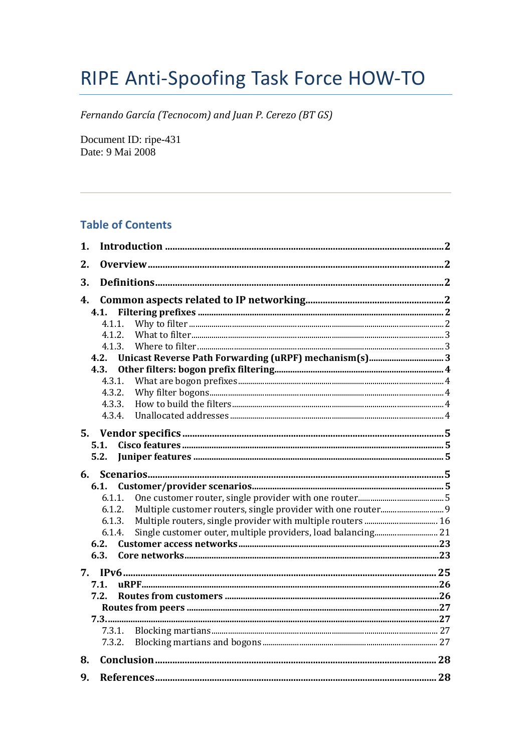# RIPE Anti-Spoofing Task Force HOW-TO

Fernando García (Tecnocom) and Juan P. Cerezo (BT GS)

Document ID: ripe-431 Date: 9 Mai 2008

# **Table of Contents**

| 2.<br>3.<br>4.<br>4.1.<br>4.1.1.<br>4.1.2.<br>4.1.3.<br>4.2.<br>4.3.<br>4.3.1.<br>4.3.2.<br>4.3.3.<br>4.3.4.<br>5.1.<br>5.2.<br>6.<br>6.1.<br>6.1.1.<br>6.1.2.<br>6.1.3.<br>6.1.4.<br>6.2.<br>6.3.<br>7.1.<br>7.2.<br>7.3.1.<br>7.3.2.<br>8.<br>9. | 1. |  |
|----------------------------------------------------------------------------------------------------------------------------------------------------------------------------------------------------------------------------------------------------|----|--|
|                                                                                                                                                                                                                                                    |    |  |
|                                                                                                                                                                                                                                                    |    |  |
|                                                                                                                                                                                                                                                    |    |  |
|                                                                                                                                                                                                                                                    |    |  |
|                                                                                                                                                                                                                                                    |    |  |
|                                                                                                                                                                                                                                                    |    |  |
|                                                                                                                                                                                                                                                    |    |  |
|                                                                                                                                                                                                                                                    |    |  |
|                                                                                                                                                                                                                                                    |    |  |
|                                                                                                                                                                                                                                                    |    |  |
|                                                                                                                                                                                                                                                    |    |  |
|                                                                                                                                                                                                                                                    |    |  |
|                                                                                                                                                                                                                                                    |    |  |
|                                                                                                                                                                                                                                                    |    |  |
|                                                                                                                                                                                                                                                    |    |  |
|                                                                                                                                                                                                                                                    |    |  |
|                                                                                                                                                                                                                                                    |    |  |
|                                                                                                                                                                                                                                                    |    |  |
|                                                                                                                                                                                                                                                    |    |  |
|                                                                                                                                                                                                                                                    |    |  |
|                                                                                                                                                                                                                                                    |    |  |
|                                                                                                                                                                                                                                                    |    |  |
|                                                                                                                                                                                                                                                    |    |  |
|                                                                                                                                                                                                                                                    |    |  |
|                                                                                                                                                                                                                                                    |    |  |
|                                                                                                                                                                                                                                                    |    |  |
|                                                                                                                                                                                                                                                    |    |  |
|                                                                                                                                                                                                                                                    |    |  |
|                                                                                                                                                                                                                                                    |    |  |
|                                                                                                                                                                                                                                                    |    |  |
|                                                                                                                                                                                                                                                    |    |  |
|                                                                                                                                                                                                                                                    |    |  |
|                                                                                                                                                                                                                                                    |    |  |
|                                                                                                                                                                                                                                                    |    |  |
|                                                                                                                                                                                                                                                    |    |  |
|                                                                                                                                                                                                                                                    |    |  |
|                                                                                                                                                                                                                                                    |    |  |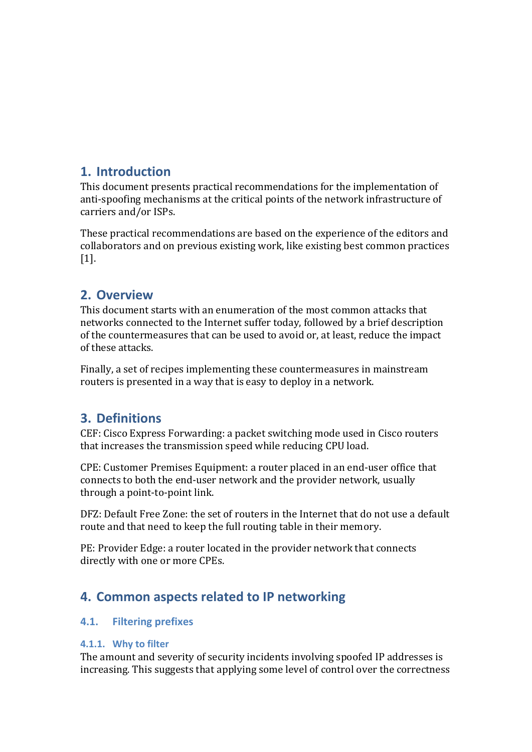# <span id="page-1-0"></span>**1. Introduction**

This document presents practical recommendations for the implementation of anti‐spoofing mechanisms at the critical points of the network infrastructure of carriers and/or ISPs.

These practical recommendations are based on the experience of the editors and collaborators and on previous existing work, like existing best common practices [1].

# **2. Overview**

This document starts with an enumeration of the most common attacks that networks connected to the Internet suffer today, followed by a brief description of the countermeasures that can be used to avoid or, at least, reduce the impact of these attacks.

Finally, a set of recipes implementing these countermeasures in mainstream routers is presented in a way that is easy to deploy in a network.

# **3. Definitions**

CEF: Cisco Express Forwarding: a packet switching mode used in Cisco routers that increases the transmission speed while reducing CPU load.

CPE: Customer Premises Equipment: a router placed in an end‐user office that connects to both the end‐user network and the provider network, usually through a point‐to‐point link.

DFZ: Default Free Zone: the set of routers in the Internet that do not use a default route and that need to keep the full routing table in their memory.

PE: Provider Edge: a router located in the provider network that connects directly with one or more CPEs.

# **4. Common aspects related to IP networking**

# **4.1. Filtering prefixes**

# **4.1.1. Why to filter**

The amount and severity of security incidents involving spoofed IP addresses is increasing. This suggests that applying some level of control over the correctness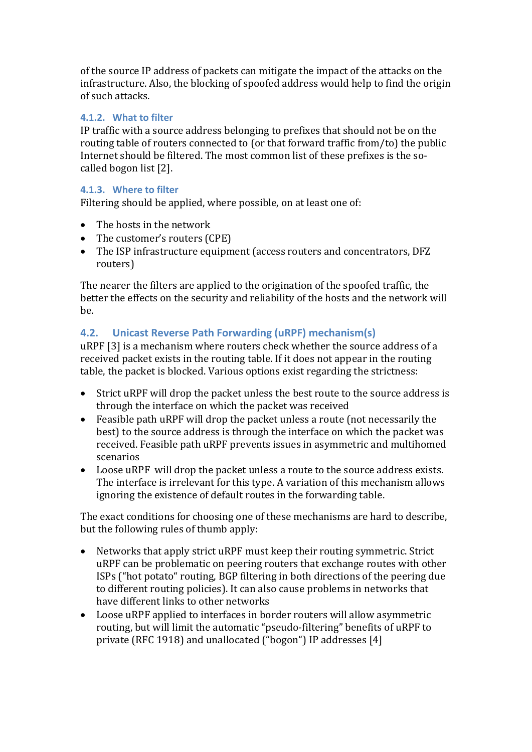<span id="page-2-0"></span>of the source IP address of packets can mitigate the impact of the attacks on the infrastructure. Also, the blocking of spoofed address would help to find the origin of such attacks.

# **4.1.2. What to filter**

IP traffic with a source address belonging to prefixes that should not be on the routing table of routers connected to (or that forward traffic from/to) the public Internet should be filtered. The most common list of these prefixes is the socalled bogon list [2].

# **4.1.3. Where to filter**

Filtering should be applied, where possible, on at least one of:

- The hosts in the network
- The customer's routers (CPE)
- The ISP infrastructure equipment (access routers and concentrators, DFZ routers)

The nearer the filters are applied to the origination of the spoofed traffic, the better the effects on the security and reliability of the hosts and the network will be.

# **4.2. Unicast Reverse Path Forwarding (uRPF) mechanism(s)**

uRPF [3] is a mechanism where routers check whether the source address of a received packet exists in the routing table. If it does not appear in the routing table, the packet is blocked. Various options exist regarding the strictness:

- Strict uRPF will drop the packet unless the best route to the source address is through the interface on which the packet was received
- Feasible path uRPF will drop the packet unless a route (not necessarily the best) to the source address is through the interface on which the packet was received. Feasible path uRPF prevents issues in asymmetric and multihomed scenarios
- Loose uRPF will drop the packet unless a route to the source address exists. The interface is irrelevant for this type. A variation of this mechanism allows ignoring the existence of default routes in the forwarding table.

The exact conditions for choosing one of these mechanisms are hard to describe, but the following rules of thumb apply:

- Networks that apply strict uRPF must keep their routing symmetric. Strict uRPF can be problematic on peering routers that exchange routes with other ISPs ("hot potato" routing, BGP filtering in both directions of the peering due to different routing policies). It can also cause problems in networks that have different links to other networks
- Loose uRPF applied to interfaces in border routers will allow asymmetric routing, but will limit the automatic "pseudo‐filtering" benefits of uRPF to private (RFC 1918) and unallocated ("bogon") IP addresses [4]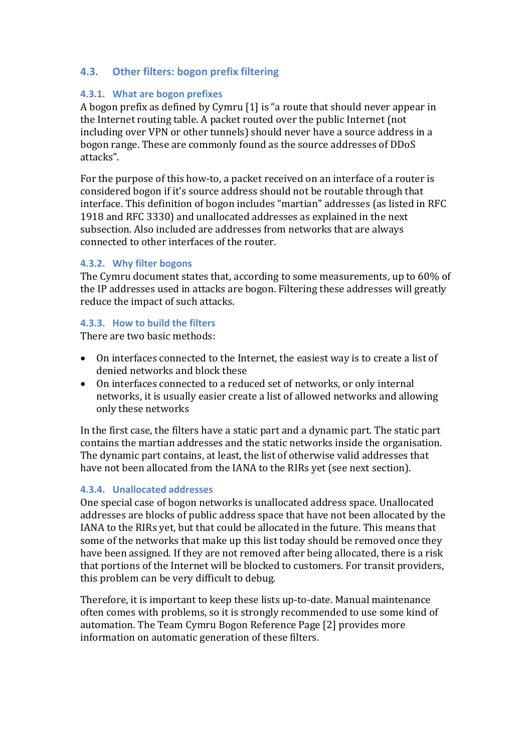# <span id="page-3-0"></span>**4.3. Other filters: bogon prefix filtering**

# **4.3.1. What are bogon prefixes**

A bogon prefix as defined by Cymru [1] is "a route that should never appear in the Internet routing table. A packet routed over the public Internet (not including over VPN or other tunnels) should never have a source address in a bogon range. These are commonly found as the source addresses of DDoS attacks".

For the purpose of this how-to, a packet received on an interface of a router is considered bogon if it's source address should not be routable through that interface. This definition of bogon includes "martian" addresses (as listed in RFC 1918 and RFC 3330) and unallocated addresses as explained in the next subsection. Also included are addresses from networks that are always connected to other interfaces of the router.

### **4.3.2. Why filter bogons**

The Cymru document states that, according to some measurements, up to 60% of the IP addresses used in attacks are bogon. Filtering these addresses will greatly reduce the impact of such attacks.

### **4.3.3. How to build the filters**

There are two basic methods:

- On interfaces connected to the Internet, the easiest way is to create a list of denied networks and block these
- On interfaces connected to a reduced set of networks, or only internal networks, it is usually easier create a list of allowed networks and allowing only these networks

In the first case, the filters have a static part and a dynamic part. The static part contains the martian addresses and the static networks inside the organisation. The dynamic part contains, at least, the list of otherwise valid addresses that have not been allocated from the IANA to the RIRs yet (see next section).

### **4.3.4. Unallocated addresses**

One special case of bogon networks is unallocated address space. Unallocated addresses are blocks of public address space that have not been allocated by the IANA to the RIRs yet, but that could be allocated in the future. This means that some of the networks that make up this list today should be removed once they have been assigned. If they are not removed after being allocated, there is a risk that portions of the Internet will be blocked to customers. For transit providers, this problem can be very difficult to debug.

Therefore, it is important to keep these lists up-to-date. Manual maintenance often comes with problems, so it is strongly recommended to use some kind of automation. The Team Cymru Bogon Reference Page [2] provides more information on automatic generation of these filters.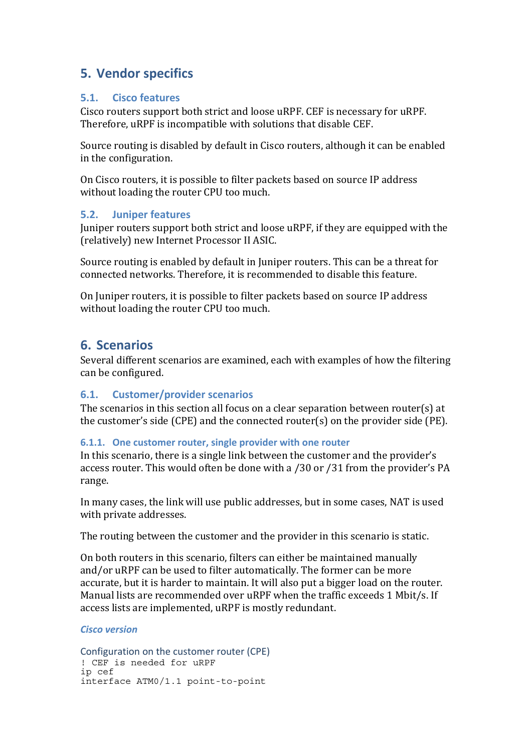# <span id="page-4-0"></span>**5. Vendor specifics**

# **5.1. Cisco features**

Cisco routers support both strict and loose uRPF. CEF is necessary for uRPF. Therefore, uRPF is incompatible with solutions that disable CEF.

Source routing is disabled by default in Cisco routers, although it can be enabled in the configuration.

On Cisco routers, it is possible to filter packets based on source IP address without loading the router CPU too much.

# **5.2. Juniper features**

Juniper routers support both strict and loose uRPF, if they are equipped with the (relatively) new Internet Processor II ASIC.

Source routing is enabled by default in Juniper routers. This can be a threat for connected networks. Therefore, it is recommended to disable this feature.

On Juniper routers, it is possible to filter packets based on source IP address without loading the router CPU too much.

# **6. Scenarios**

Several different scenarios are examined, each with examples of how the filtering can be configured.

# **6.1. Customer/provider scenarios**

The scenarios in this section all focus on a clear separation between router(s) at the customer's side (CPE) and the connected router(s) on the provider side (PE).

# **6.1.1. One customer router, single provider with one router**

In this scenario, there is a single link between the customer and the provider's access router. This would often be done with a /30 or /31 from the provider's PA range.

In many cases, the link will use public addresses, but in some cases, NAT is used with private addresses.

The routing between the customer and the provider in this scenario is static.

On both routers in this scenario, filters can either be maintained manually and/or uRPF can be used to filter automatically. The former can be more accurate, but it is harder to maintain. It will also put a bigger load on the router. Manual lists are recommended over uRPF when the traffic exceeds 1 Mbit/s. If access lists are implemented, uRPF is mostly redundant.

# *Cisco version*

```
Configuration on the customer router (CPE)
! CEF is needed for uRPF 
ip cef 
interface ATM0/1.1 point-to-point
```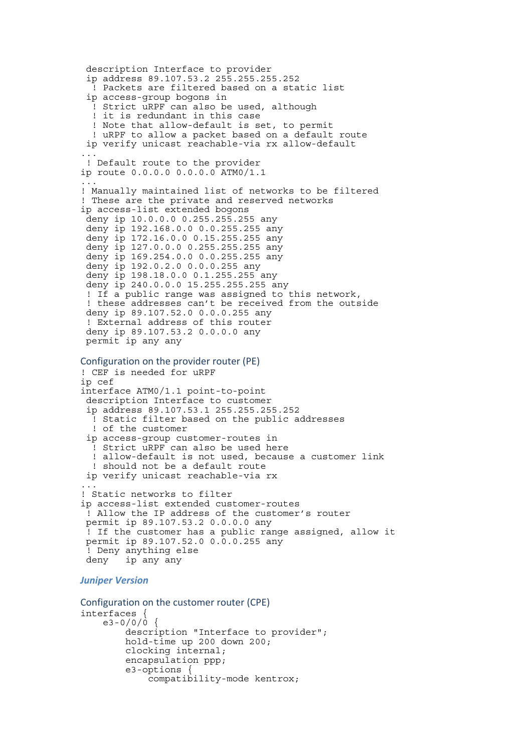```
 description Interface to provider 
  ip address 89.107.53.2 255.255.255.252 
   ! Packets are filtered based on a static list 
  ip access-group bogons in 
   ! Strict uRPF can also be used, although 
   ! it is redundant in this case 
   ! Note that allow-default is set, to permit 
   ! uRPF to allow a packet based on a default route 
  ip verify unicast reachable-via rx allow-default 
... 
  ! Default route to the provider 
ip route 0.0.0.0 0.0.0.0 ATM0/1.1 
... 
! Manually maintained list of networks to be filtered 
! These are the private and reserved networks
ip access-list extended bogons 
  deny ip 10.0.0.0 0.255.255.255 any 
  deny ip 192.168.0.0 0.0.255.255 any 
  deny ip 172.16.0.0 0.15.255.255 any 
  deny ip 127.0.0.0 0.255.255.255 any 
  deny ip 169.254.0.0 0.0.255.255 any 
  deny ip 192.0.2.0 0.0.0.255 any 
  deny ip 198.18.0.0 0.1.255.255 any 
  deny ip 240.0.0.0 15.255.255.255 any 
  ! If a public range was assigned to this network, 
  ! these addresses can't be received from the outside 
  deny ip 89.107.52.0 0.0.0.255 any 
  ! External address of this router 
  deny ip 89.107.53.2 0.0.0.0 any 
  permit ip any any 
Configuration on the provider router (PE)
! CEF is needed for uRPF 
ip cef 
interface ATM0/1.1 point-to-point 
  description Interface to customer 
  ip address 89.107.53.1 255.255.255.252 
   ! Static filter based on the public addresses 
   ! of the customer 
  ip access-group customer-routes in 
   ! Strict uRPF can also be used here 
   ! allow-default is not used, because a customer link 
   ! should not be a default route 
  ip verify unicast reachable-via rx 
... 
! Static networks to filter 
ip access-list extended customer-routes 
  ! Allow the IP address of the customer's router 
  permit ip 89.107.53.2 0.0.0.0 any 
  ! If the customer has a public range assigned, allow it 
  permit ip 89.107.52.0 0.0.0.255 any 
  ! Deny anything else 
  deny ip any any 
Juniper Version
```

```
Configuration on the customer router (CPE)
interfaces { 
    e3 - 0/0/0 description "Interface to provider"; 
          hold-time up 200 down 200; 
          clocking internal; 
          encapsulation ppp; 
         e3-options
              compatibility-mode kentrox;
```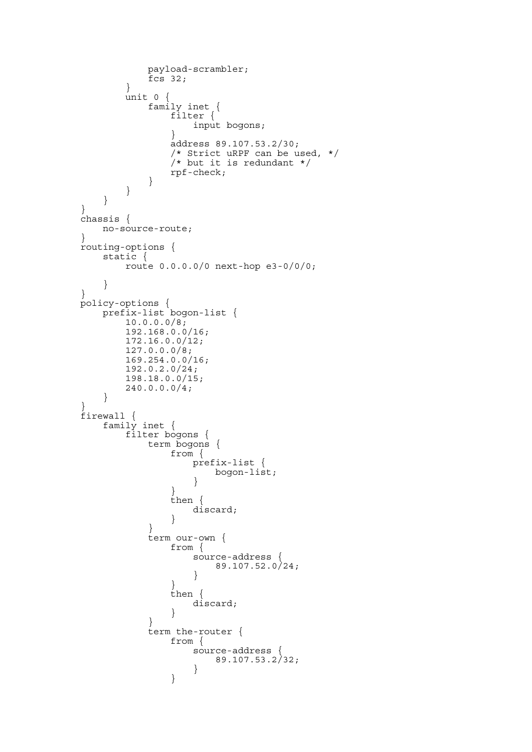```
 payload-scrambler; 
      fcs 32; } 
       unit 0 { 
 family inet { 
 filter { 
             input bogons;
 } 
              address 89.107.53.2/30; 
              /* Strict uRPF can be used, */ 
             /* but it is redundant */rpf-check; } 
       } 
    } 
} 
chassis { 
   no-source-route; 
} 
routing-options { 
    static { 
       route 0.0.0.0/0 next-hop e3-0/0/0; 
    } 
} 
policy-options { 
    prefix-list bogon-list { 
       10.0.0.0/8; 
       192.168.0.0/16; 
       172.16.0.0/12; 
       127.0.0.0/8; 
       169.254.0.0/16; 
       192.0.2.0/24; 
       198.18.0.0/15; 
       240.0.0.0/4; 
    } 
} 
firewall { 
 family inet { 
 filter bogons { 
          term bogons { 
              from { 
                 prefix-list { 
                    bogon-list; 
 } 
 } 
              then { 
             discard;<br>}
 } 
 } 
           term our-own { 
              from { 
 source-address { 
89.107.52.0/24; } 
 } 
              then { 
             discard;
 } 
 } 
           term the-router { 
              from { 
                 source-address { 
                    89.107.53.2/32; 
 } 
 }
```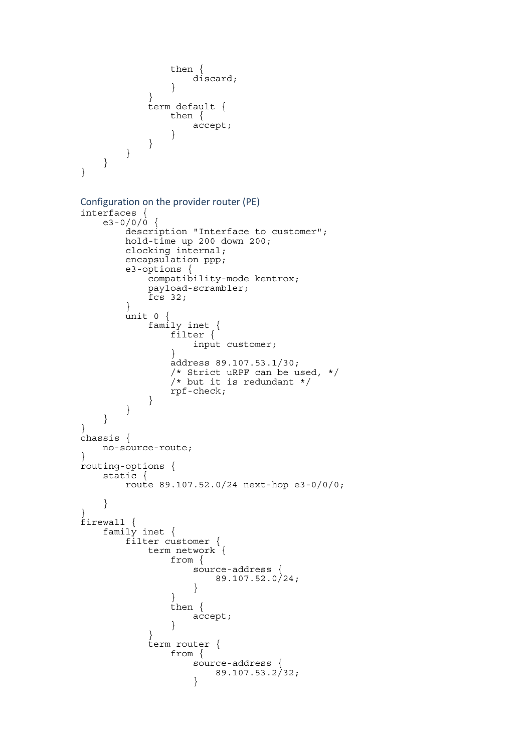```
 then { 
                   discard; 
 } 
 } 
            term default { 
               then { 
               accept;
 } 
           } 
       } 
   } 
} 
Configuration on the provider router (PE)
interfaces { 
   e3 - 0/0/0 {
        description "Interface to customer"; 
        hold-time up 200 down 200; 
        clocking internal; 
        encapsulation ppp; 
        e3-options { 
            compatibility-mode kentrox; 
            payload-scrambler; 
           fcs 32;
        } 
       \text{unit} 0 {
 family inet { 
 filter { 
               input customer;
 } 
               address 89.107.53.1/30; 
                /* Strict uRPF can be used, */ 
               \frac{1}{x} but it is redundant */
            rpf-check; 
 } 
        } 
    } 
} 
chassis { 
    no-source-route; 
} 
routing-options { 
    static { 
        route 89.107.52.0/24 next-hop e3-0/0/0; 
 } 
} 
firewall { 
    family inet { 
        filter customer { 
            term network { 
               from { 
                   source-address { 
                       89.107.52.0/24; 
 } 
 } 
               then { 
               accept;
 } 
 } 
            term router { 
               from { 
                   source-address { 
                  89.107.53.2/32; }
```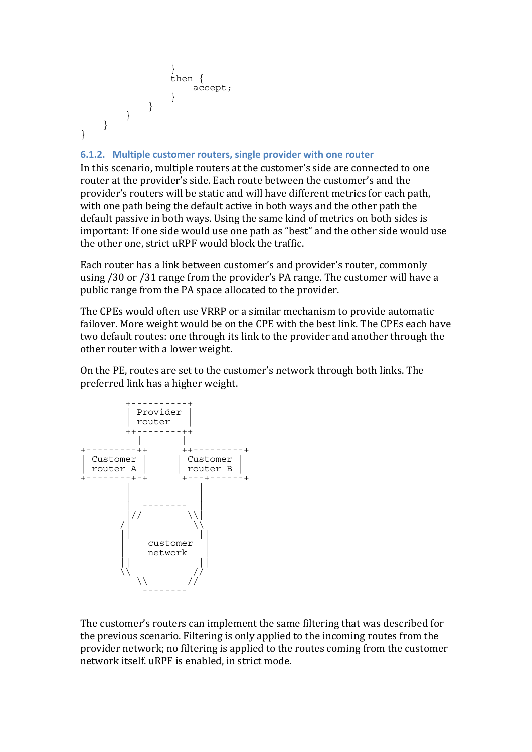```
 } 
          then { 
           accept; 
 } 
 } 
    } 
   } 
}
```
### **6.1.2. Multiple customer routers, single provider with one router**

In this scenario, multiple routers at the customer's side are connected to one router at the provider's side. Each route between the customer's and the provider's routers will be static and will have different metrics for each path, with one path being the default active in both ways and the other path the default passive in both ways. Using the same kind of metrics on both sides is important: If one side would use one path as "best" and the other side would use the other one, strict uRPF would block the traffic.

Each router has a link between customer's and provider's router, commonly using /30 or /31 range from the provider's PA range. The customer will have a public range from the PA space allocated to the provider.

The CPEs would often use VRRP or a similar mechanism to provide automatic failover. More weight would be on the CPE with the best link. The CPEs each have two default routes: one through its link to the provider and another through the other router with a lower weight.

On the PE, routes are set to the customer's network through both links. The preferred link has a higher weight.



The customer's routers can implement the same filtering that was described for the previous scenario. Filtering is only applied to the incoming routes from the provider network; no filtering is applied to the routes coming from the customer network itself. uRPF is enabled, in strict mode.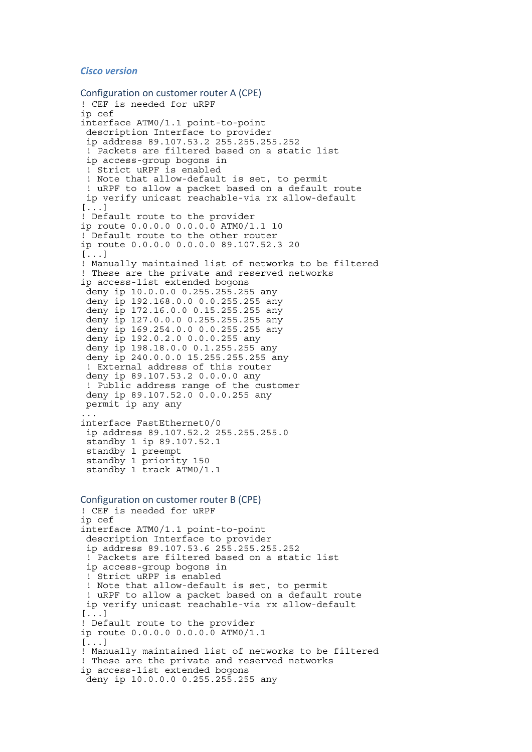#### *Cisco version*

```
Configuration on customer router A (CPE)
! CEF is needed for uRPF 
ip cef 
interface ATM0/1.1 point-to-point 
  description Interface to provider 
  ip address 89.107.53.2 255.255.255.252 
  ! Packets are filtered based on a static list 
  ip access-group bogons in 
  ! Strict uRPF is enabled 
  ! Note that allow-default is set, to permit 
  ! uRPF to allow a packet based on a default route 
 ip verify unicast reachable-via rx allow-default 
[...] 
! Default route to the provider 
ip route 0.0.0.0 0.0.0.0 ATM0/1.1 10 
! Default route to the other router 
ip route 0.0.0.0 0.0.0.0 89.107.52.3 20 
[...] 
! Manually maintained list of networks to be filtered 
! These are the private and reserved networks 
ip access-list extended bogons 
  deny ip 10.0.0.0 0.255.255.255 any 
  deny ip 192.168.0.0 0.0.255.255 any 
  deny ip 172.16.0.0 0.15.255.255 any 
  deny ip 127.0.0.0 0.255.255.255 any 
  deny ip 169.254.0.0 0.0.255.255 any 
  deny ip 192.0.2.0 0.0.0.255 any 
  deny ip 198.18.0.0 0.1.255.255 any 
  deny ip 240.0.0.0 15.255.255.255 any 
  ! External address of this router 
  deny ip 89.107.53.2 0.0.0.0 any 
  ! Public address range of the customer 
  deny ip 89.107.52.0 0.0.0.255 any 
 permit ip any any 
... 
interface FastEthernet0/0 
  ip address 89.107.52.2 255.255.255.0 
  standby 1 ip 89.107.52.1 
 standby 1 preempt 
 standby 1 priority 150 
 standby 1 track ATM0/1.1 
Configuration on customer router B (CPE)
! CEF is needed for uRPF 
ip cef 
interface ATM0/1.1 point-to-point 
  description Interface to provider 
  ip address 89.107.53.6 255.255.255.252 
  ! Packets are filtered based on a static list 
  ip access-group bogons in 
  ! Strict uRPF is enabled 
  ! Note that allow-default is set, to permit 
 ! uRPF to allow a packet based on a default route
  ip verify unicast reachable-via rx allow-default 
[...] 
! Default route to the provider 
ip route 0.0.0.0 0.0.0.0 ATM0/1.1 
[...] 
! Manually maintained list of networks to be filtered 
! These are the private and reserved networks 
ip access-list extended bogons 
  deny ip 10.0.0.0 0.255.255.255 any
```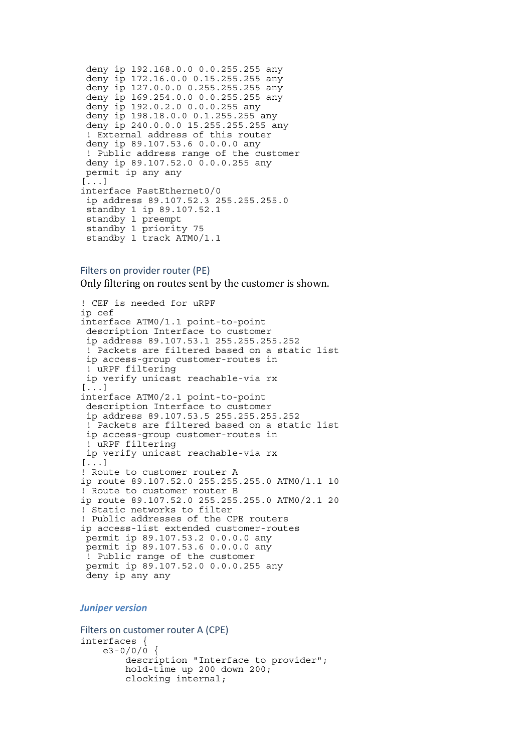```
 deny ip 192.168.0.0 0.0.255.255 any 
 deny ip 172.16.0.0 0.15.255.255 any 
  deny ip 127.0.0.0 0.255.255.255 any 
  deny ip 169.254.0.0 0.0.255.255 any 
 deny ip 192.0.2.0 0.0.0.255 any 
 deny ip 198.18.0.0 0.1.255.255 any 
 deny ip 240.0.0.0 15.255.255.255 any 
  ! External address of this router 
 deny ip 89.107.53.6 0.0.0.0 any 
  ! Public address range of the customer 
 deny ip 89.107.52.0 0.0.0.255 any 
 permit ip any any 
[...] 
interface FastEthernet0/0 
  ip address 89.107.52.3 255.255.255.0 
  standby 1 ip 89.107.52.1 
standby 1 preempt 
standby 1 priority 75 
 standby 1 track ATM0/1.1
```
#### Filters on provider router (PE)

Only filtering on routes sent by the customer is shown.

```
! CEF is needed for uRPF 
ip cef 
interface ATM0/1.1 point-to-point 
  description Interface to customer 
  ip address 89.107.53.1 255.255.255.252 
  ! Packets are filtered based on a static list 
  ip access-group customer-routes in 
  ! uRPF filtering 
 ip verify unicast reachable-via rx 
[\ldots]interface ATM0/2.1 point-to-point 
  description Interface to customer 
  ip address 89.107.53.5 255.255.255.252 
  ! Packets are filtered based on a static list 
  ip access-group customer-routes in 
  ! uRPF filtering 
 ip verify unicast reachable-via rx 
[...] 
! Route to customer router A 
ip route 89.107.52.0 255.255.255.0 ATM0/1.1 10 
! Route to customer router B 
ip route 89.107.52.0 255.255.255.0 ATM0/2.1 20 
! Static networks to filter 
! Public addresses of the CPE routers 
ip access-list extended customer-routes 
 permit ip 89.107.53.2 0.0.0.0 any 
 permit ip 89.107.53.6 0.0.0.0 any 
 ! Public range of the customer 
 permit ip 89.107.52.0 0.0.0.255 any 
 deny ip any any
```
#### *Juniper version*

```
Filters on customer router A (CPE)
interfaces { 
    e3 - 0/0/0description "Interface to provider";
         hold-time up 200 down 200; 
         clocking internal;
```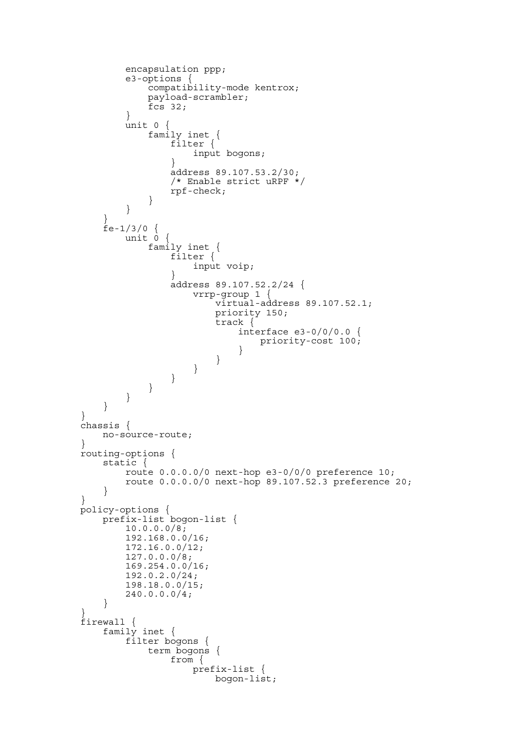```
 encapsulation ppp; 
        e3-options { 
            compatibility-mode kentrox; 
            payload-scrambler; 
       fcs 32; } 
        unit 0 { 
 family inet { 
 filter { 
               input bogons;
 } 
                address 89.107.53.2/30; 
                /* Enable strict uRPF */ 
            rpf-check; 
 } 
        } 
 } 
    fe-1/3/0 {
        unit 0 { 
            family inet { 
                filter { 
               input voip;
 } 
                address 89.107.52.2/24 { 
                    vrrp-group 1 { 
                        virtual-address 89.107.52.1; 
                        priority 150; 
                        track { 
                            interface e3-0/0/0.0 { 
                               priority-cost 100; 
 } 
 } 
 } 
 } 
            } 
        } 
     } 
} 
chassis { 
    no-source-route; 
} 
routing-options { 
     static { 
        route 0.0.0.0/0 next-hop e3-0/0/0 preference 10; 
        route 0.0.0.0/0 next-hop 89.107.52.3 preference 20; 
     } 
} 
policy-options { 
    prefix-list bogon-list { 
        10.0.0.0/8; 
        192.168.0.0/16; 
        172.16.0.0/12; 
        127.0.0.0/8; 
        169.254.0.0/16; 
        192.0.2.0/24; 
        198.18.0.0/15; 
        240.0.0.0/4; 
     } 
} 
firewall { 
    family inet { 
        filter bogons { 
            term bogons { 
                from { 
                    prefix-list { 
                       bogon-list;
```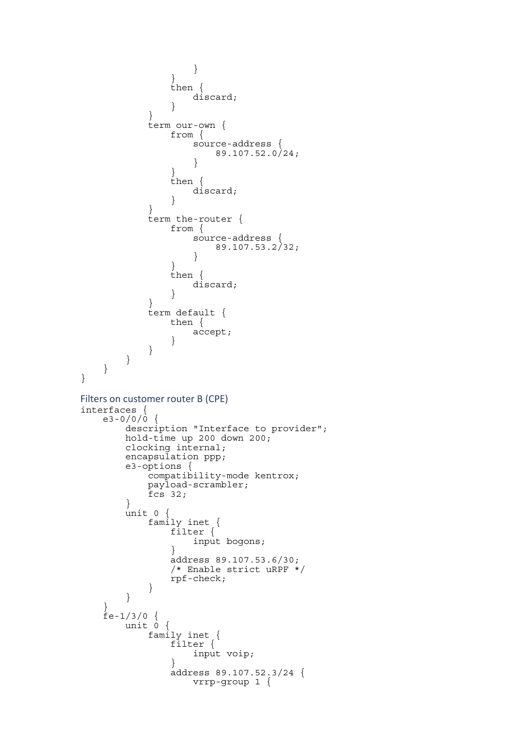```
 } 
 } 
             then { 
                discard; 
 } 
 } 
          term our-own { 
             from { 
                source-address { 
               89.107.52.0/24; } 
 } 
             then { 
            discard;
 } 
 } 
          term the-router { 
             from { 
                source-address { 
               89.107.53.2/32; } 
 } 
             then { 
            discard;
 } 
 } 
          term default { 
             then { 
            accept;
 } 
 } 
      } 
   } 
} 
Filters on customer router B (CPE)
interfaces { 
   e3 - 0/0/0 {
       description "Interface to provider"; 
       hold-time up 200 down 200; 
       clocking internal; 
       encapsulation ppp; 
 e3-options { 
 compatibility-mode kentrox; 
          payload-scrambler; 
         \overline{f}cs 32;
       } 
       unit 0 { 
 family inet { 
 filter { 
            input bogons;
 } 
             address 89.107.53.6/30; 
             /* Enable strict uRPF */ 
          rpf-check; 
 } 
       } 
    } 
   f = -1/3/0 {<br>unit 0 {
      unit 0 { 
 family inet { 
 filter { 
            input voip;
 } 
 address 89.107.52.3/24 { 
 vrrp-group 1 {
```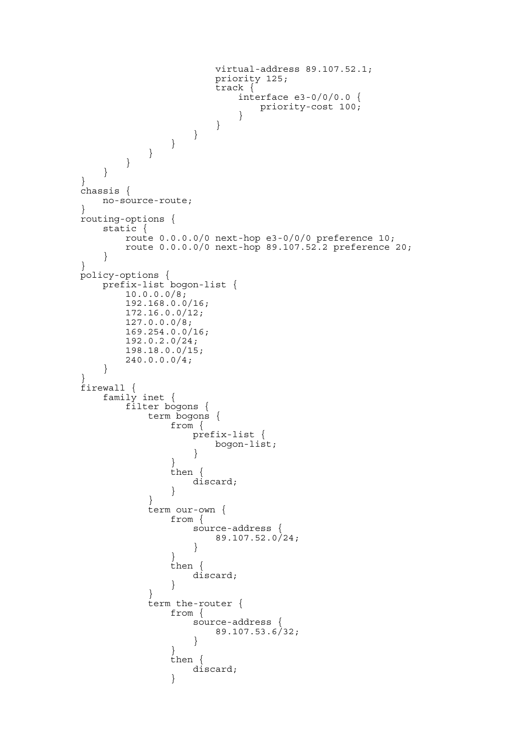```
 virtual-address 89.107.52.1; 
                     priority 125; 
                      track { 
                         interface e3-0/0/0.0 { 
                        priority-cost 100;
 } 
 } 
                 } 
             } 
          } 
       } 
    } 
} 
chassis { 
    no-source-route; 
} 
routing-options { 
    static { 
        route 0.0.0.0/0 next-hop e3-0/0/0 preference 10; 
        route 0.0.0.0/0 next-hop 89.107.52.2 preference 20; 
    } 
} 
policy-options { 
 prefix-list bogon-list { 
      10.0.0.0/8; 192.168.0.0/16; 
       172.16.0.0/12; 
       127.0.0.0/8; 
       169.254.0.0/16; 
        192.0.2.0/24; 
       198.18.0.0/15; 
      240.0.0.0/4; } 
} 
firewall { 
    family inet { 
        filter bogons { 
           term bogons { 
               from { 
                  prefix-list { 
                     bogon-list; 
 } 
 } 
               then { 
              discard;
 } 
 } 
           term our-own { 
              from { 
                  source-address { 
                     89.107.52.0/24; 
 } 
 } 
               then { 
              discard;
 } 
 } 
           term the-router { 
               from { 
                  source-address { 
                     89.107.53.6/32; 
 } 
 } 
               then { 
              discard;
 }
```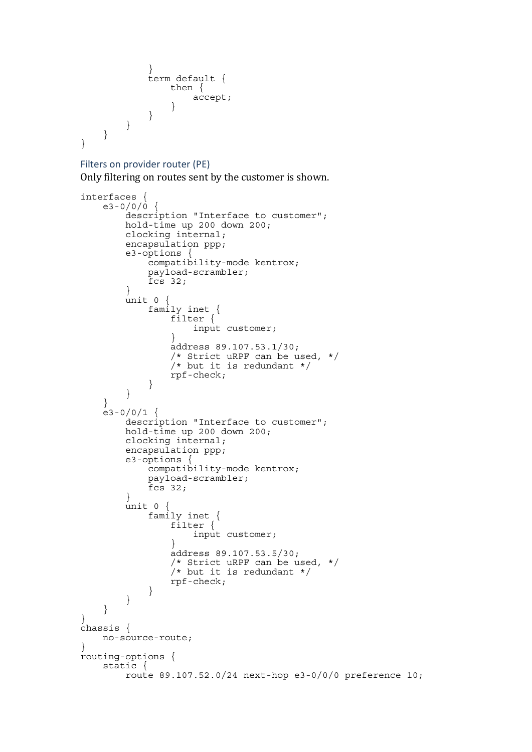```
 } 
          term default { 
             then { 
               accept; 
 } 
 } 
      } 
   } 
}
```
#### Filters on provider router (PE)

Only filtering on routes sent by the customer is shown.

```
interfaces { 
   e3 - 0/0/\dot{0} {
         description "Interface to customer"; 
        hold-time up 200 down 200; 
        clocking internal; 
        encapsulation ppp; 
         e3-options { 
             compatibility-mode kentrox; 
             payload-scrambler; 
        fcs 32;
 } 
        unit 0 { 
             family inet { 
                 filter { 
                input customer;
 } 
                 address 89.107.53.1/30; 
                 /* Strict uRPF can be used, */ 
                \frac{1}{x} but it is redundant */
             rpf-check; 
 } 
         } 
     } 
    e3 - 0/0/1 {
         description "Interface to customer"; 
         hold-time up 200 down 200; 
         clocking internal; 
         encapsulation ppp; 
        e3-options {
             compatibility-mode kentrox; 
             payload-scrambler; 
        fcs 32; } 
         unit 0 { 
 family inet { 
 filter { 
                input customer;
 } 
                 address 89.107.53.5/30; 
                 /* Strict uRPF can be used, */ 
                \sqrt{*} but it is redundant */ rpf-check; 
 } 
         } 
     } 
} 
chassis { 
    no-source-route; 
} 
routing-options { 
     static { 
         route 89.107.52.0/24 next-hop e3-0/0/0 preference 10;
```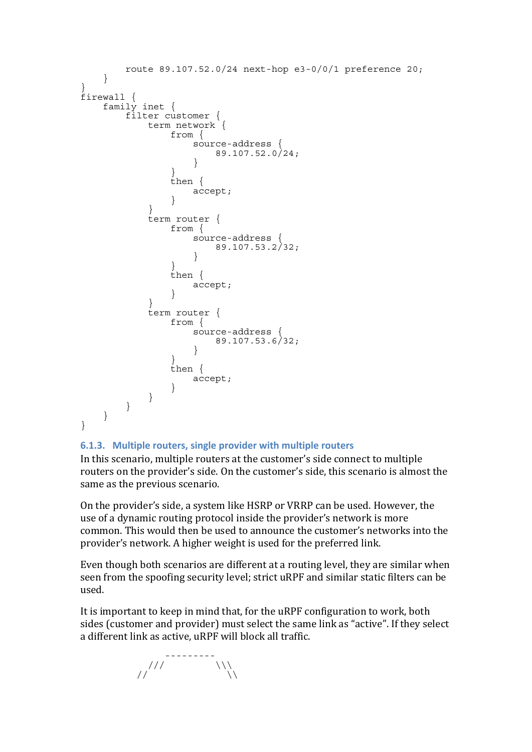```
 route 89.107.52.0/24 next-hop e3-0/0/1 preference 20; 
    } 
} 
firewall { 
   family inet { 
      filter customer { 
         term network { 
            from { 
               source-address { 
               89.107.52.0/24; } 
 } 
             then { 
            accept;
 } 
 } 
         term router { 
            from { 
               source-address { 
               89.107.53.2/32; } 
 } 
             then { 
            accept;
 } 
 } 
          term router { 
            from { 
               source-address { 
               89.107.53.6/32; } 
 } 
             then { 
               accept; 
 } 
 } 
      } 
   } 
}
```
# **6.1.3. Multiple routers, single provider with multiple routers**

In this scenario, multiple routers at the customer's side connect to multiple routers on the provider's side. On the customer's side, this scenario is almost the same as the previous scenario.

On the provider's side, a system like HSRP or VRRP can be used. However, the use of a dynamic routing protocol inside the provider's network is more common. This would then be used to announce the customer's networks into the provider's network. A higher weight is used for the preferred link.

Even though both scenarios are different at a routing level, they are similar when seen from the spoofing security level; strict uRPF and similar static filters can be used.

It is important to keep in mind that, for the uRPF configuration to work, both sides (customer and provider) must select the same link as "active". If they select a different link as active, uRPF will block all traffic.

 ---------  $\angle$ ///  $\angle$  \\\  $\angle$  //  $\angle$  //  $\angle$  //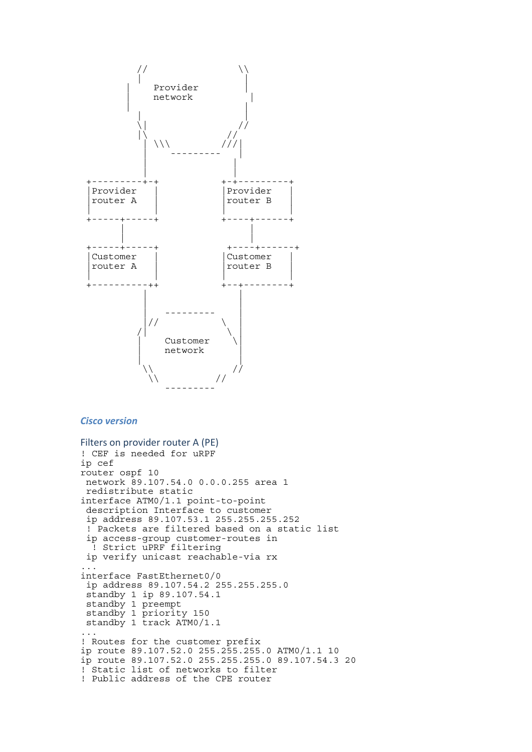

#### *Cisco version*

```
Filters on provider router A (PE)
! CEF is needed for uRPF 
ip cef 
router ospf 10 
 network 89.107.54.0 0.0.0.255 area 1 
  redistribute static 
interface ATM0/1.1 point-to-point 
  description Interface to customer 
  ip address 89.107.53.1 255.255.255.252 
  ! Packets are filtered based on a static list 
  ip access-group customer-routes in 
  ! Strict uPRF filtering 
  ip verify unicast reachable-via rx 
... 
interface FastEthernet0/0 
  ip address 89.107.54.2 255.255.255.0 
  standby 1 ip 89.107.54.1 
  standby 1 preempt 
  standby 1 priority 150 
  standby 1 track ATM0/1.1 
... 
! Routes for the customer prefix 
ip route 89.107.52.0 255.255.255.0 ATM0/1.1 10 
ip route 89.107.52.0 255.255.255.0 89.107.54.3 20 
! Static list of networks to filter 
! Public address of the CPE router
```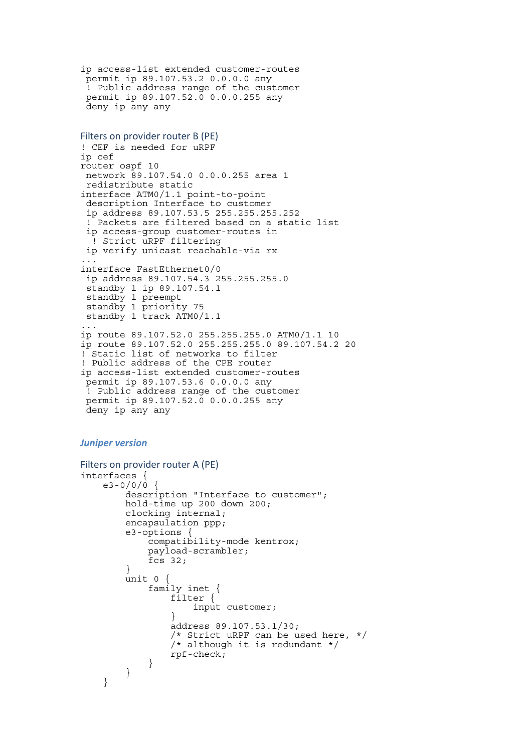```
ip access-list extended customer-routes 
 permit ip 89.107.53.2 0.0.0.0 any 
  ! Public address range of the customer 
 permit ip 89.107.52.0 0.0.0.255 any 
 deny ip any any
```

```
Filters on provider router B (PE)
! CEF is needed for uRPF 
ip cef 
router ospf 10 
 network 89.107.54.0 0.0.0.255 area 1 
  redistribute static 
interface ATM0/1.1 point-to-point 
  description Interface to customer 
  ip address 89.107.53.5 255.255.255.252 
  ! Packets are filtered based on a static list 
  ip access-group customer-routes in 
   ! Strict uRPF filtering 
  ip verify unicast reachable-via rx 
... 
interface FastEthernet0/0 
  ip address 89.107.54.3 255.255.255.0 
  standby 1 ip 89.107.54.1 
  standby 1 preempt 
  standby 1 priority 75 
  standby 1 track ATM0/1.1 
... 
ip route 89.107.52.0 255.255.255.0 ATM0/1.1 10 
ip route 89.107.52.0 255.255.255.0 89.107.54.2 20 
! Static list of networks to filter 
! Public address of the CPE router 
ip access-list extended customer-routes 
 permit ip 89.107.53.6 0.0.0.0 any 
 ! Public address range of the customer 
 permit ip 89.107.52.0 0.0.0.255 any 
 deny ip any any
```
#### *Juniper version*

```
Filters on provider router A (PE)
interfaces { 
    e3 - 0/0/0 description "Interface to customer"; 
         hold-time up 200 down 200; 
         clocking internal; 
         encapsulation ppp; 
         e3-options { 
              compatibility-mode kentrox; 
              payload-scrambler; 
              fcs 32; 
 } 
         unit 0 { 
              family inet { 
                  filter { 
                       input customer; 
 } 
                  address 89.107.53.1/30; 
                  /* Strict uRPF can be used here, */ 
                  /* although it is redundant */ 
                  rpf-check; 
             } 
         } 
     }
```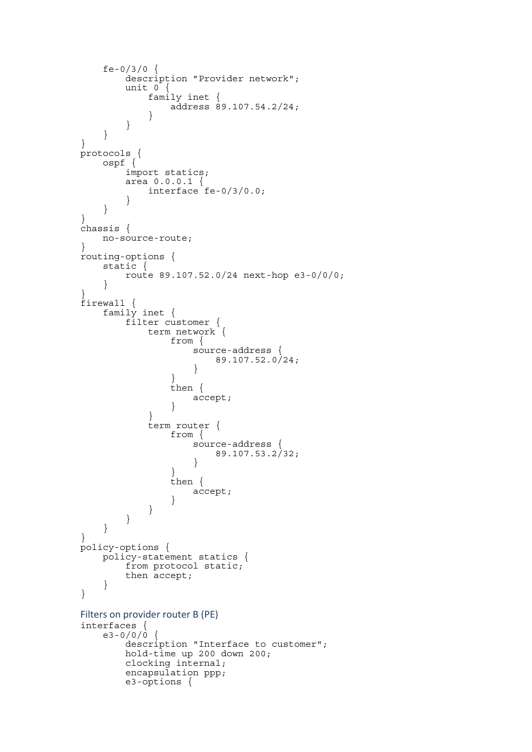```
 fe-0/3/0 { 
         description "Provider network"; 
        unit 0<sup>-1</sup> family inet { 
            \overline{a}ddress 89.107.54.2/24;
 } 
         } 
     } 
} 
protocols { 
     ospf { 
         import statics; 
         area 0.0.0.1 { 
        interface fe-0/3/0.0;
 } 
     } 
} 
chassis { 
    no-source-route; 
} 
routing-options { 
    static { 
         route 89.107.52.0/24 next-hop e3-0/0/0; 
     } 
} 
firewall { 
     family inet { 
         filter customer { 
             term network { 
                 from { 
                     source-address { 
                       89.107.52.0/24; } 
 } 
                 then { 
                     accept; 
 } 
 } 
             term router { 
                 from { 
                     source-address { 
                         89.107.53.2/32; 
 } 
 } 
                 then { 
                accept;
 } 
 } 
         } 
     } 
} 
policy-options { 
     policy-statement statics { 
         from protocol static; 
         then accept; 
     } 
} 
Filters on provider router B (PE)
interfaces { 
    e3 - 0/0/0 {
         description "Interface to customer"; 
         hold-time up 200 down 200; 
         clocking internal; 
         encapsulation ppp; 
         e3-options {
```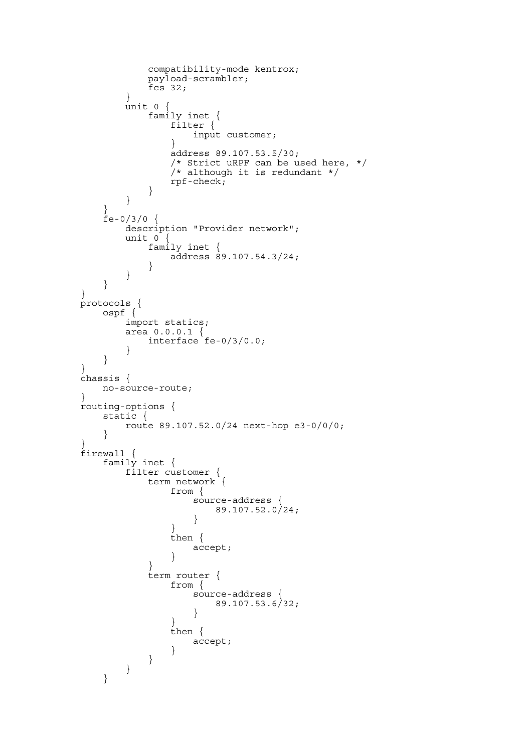```
 compatibility-mode kentrox; 
            payload-scrambler; 
       fcs 32; } 
        unit 0 { 
 family inet { 
 filter { 
              input customer;<br>}
 } 
               address 89.107.53.5/30; 
               /* Strict uRPF can be used here, */ 
              /* although it is redundant */rpf-check;}
 } 
        } 
    } 
   fe-0/3/0 {
        description "Provider network"; 
        unit 0 { 
            family inet { 
           \overline{a}ddress 89.107.54.3/24;
 } 
        } 
    } 
} 
protocols { 
    ospf { 
        import statics; 
        area 0.0.0.1 { 
           interface fe-0/3/0.0; 
 } 
    } 
} 
chassis { 
    no-source-route; 
} 
routing-options { 
    static { 
        route 89.107.52.0/24 next-hop e3-0/0/0; 
    } 
} 
firewall { 
    family inet { 
        filter customer { 
            term network { 
               from { 
                   source-address { 
                  89.107.52.0/24; } 
 } 
               then { 
              accept;
 } 
 } 
            term router { 
               from { 
                   source-address { 
                      89.107.53.6/32; 
 } 
 } 
               then { 
              accept;
 } 
           } 
        } 
    }
```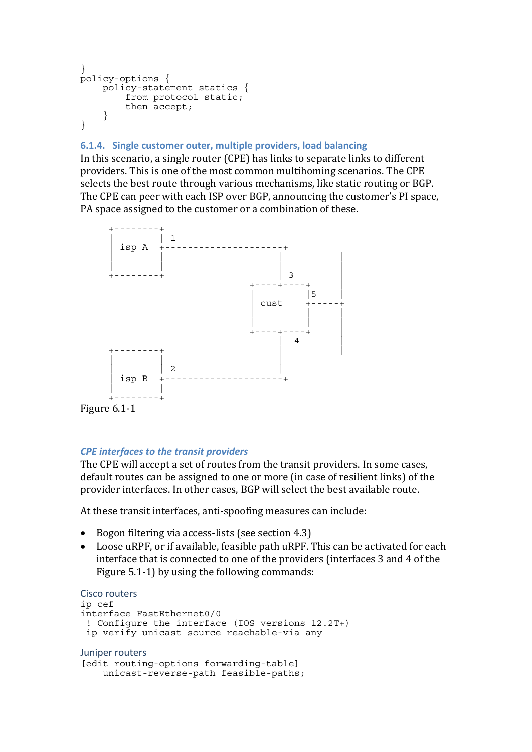```
} 
policy-options { 
    policy-statement statics { 
         from protocol static; 
          then accept; 
     } 
}
```
# **6.1.4. Single customer outer, multiple providers, load balancing**

In this scenario, a single router (CPE) has links to separate links to different providers. This is one of the most common multihoming scenarios. The CPE selects the best route through various mechanisms, like static routing or BGP. The CPE can peer with each ISP over BGP, announcing the customer's PI space, PA space assigned to the customer or a combination of these.



# Figure  $6.1-1$

# *CPE interfaces to the transit providers*

The CPE will accept a set of routes from the transit providers. In some cases, default routes can be assigned to one or more (in case of resilient links) of the provider interfaces. In other cases, BGP will select the best available route.

At these transit interfaces, anti-spoofing measures can include:

- Bogon filtering via access-lists (see section 4.3)
- Loose uRPF, or if available, feasible path uRPF. This can be activated for each interface that is connected to one of the providers (interfaces 3 and 4 of the Figure 5.1‐1) by using the following commands:

```
Cisco routers    ip cef 
interface FastEthernet0/0 
  ! Configure the interface (IOS versions 12.2T+) 
  ip verify unicast source reachable-via any 
Juniper routers
[edit routing-options forwarding-table] 
     unicast-reverse-path feasible-paths;
```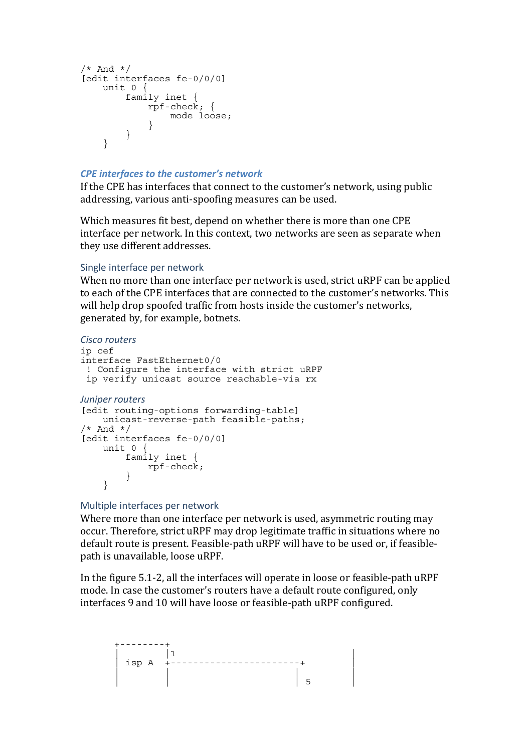```
/* And */[edit interfaces fe-0/0/0] 
    unit 0 { 
        family inet { 
           rpf-check; { 
            mode loose;
 } 
        } 
     }
```
### *CPE interfaces to the customer's network*

If the CPE has interfaces that connect to the customer's network, using public addressing, various anti‐spoofing measures can be used.

Which measures fit best, depend on whether there is more than one CPE interface per network. In this context, two networks are seen as separate when they use different addresses.

#### Single interface per network

When no more than one interface per network is used, strict uRPF can be applied to each of the CPE interfaces that are connected to the customer's networks. This will help drop spoofed traffic from hosts inside the customer's networks, generated by, for example, botnets.

```
Cisco routers
ip cef 
interface FastEthernet0/0 
  ! Configure the interface with strict uRPF 
  ip verify unicast source reachable-via rx 
Juniper routers
[edit routing-options forwarding-table] 
    unicast-reverse-path feasible-paths; 
/* And */[edit interfaces fe-0/0/0] 
     unit 0 { 
         family inet { 
        rpf-check; } 
     }
```
### Multiple interfaces per network

Where more than one interface per network is used, asymmetric routing may occur. Therefore, strict uRPF may drop legitimate traffic in situations where no default route is present. Feasible‐path uRPF will have to be used or, if feasible‐ path is unavailable, loose uRPF.

In the figure 5.1‐2, all the interfaces will operate in loose or feasible‐path uRPF mode. In case the customer's routers have a default route configured, only interfaces 9 and 10 will have loose or feasible‐path uRPF configured.

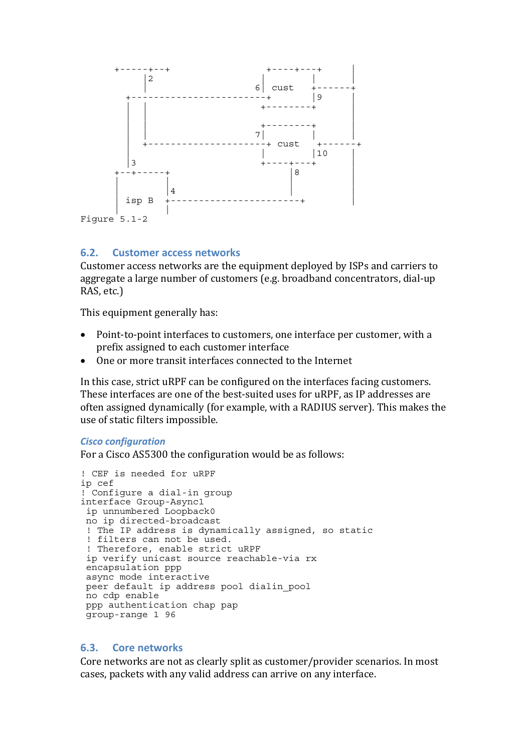<span id="page-22-0"></span>

### **6.2. Customer access networks**

Customer access networks are the equipment deployed by ISPs and carriers to aggregate a large number of customers (e.g. broadband concentrators, dial‐up RAS, etc.)

This equipment generally has:

- Point-to-point interfaces to customers, one interface per customer, with a prefix assigned to each customer interface
- One or more transit interfaces connected to the Internet

In this case, strict uRPF can be configured on the interfaces facing customers. These interfaces are one of the best-suited uses for uRPF, as IP addresses are often assigned dynamically (for example, with a RADIUS server). This makes the use of static filters impossible.

#### *Cisco configuration*

For a Cisco AS5300 the configuration would be as follows:

```
! CEF is needed for uRPF 
ip cef 
! Configure a dial-in group 
interface Group-Async1 
 ip unnumbered Loopback0 
 no ip directed-broadcast 
  ! The IP address is dynamically assigned, so static 
  ! filters can not be used. 
  ! Therefore, enable strict uRPF 
  ip verify unicast source reachable-via rx 
  encapsulation ppp 
  async mode interactive 
  peer default ip address pool dialin_pool 
 no cdp enable 
 ppp authentication chap pap 
 group-range 1 96
```
### **6.3. Core networks**

Core networks are not as clearly split as customer/provider scenarios. In most cases, packets with any valid address can arrive on any interface.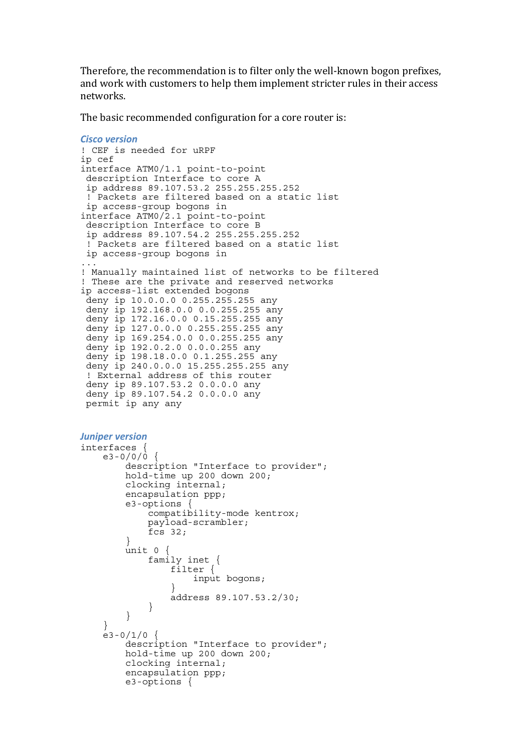Therefore, the recommendation is to filter only the well‐known bogon prefixes, and work with customers to help them implement stricter rules in their access networks.

The basic recommended configuration for a core router is:

```
Cisco version
! CEF is needed for uRPF 
ip cef 
interface ATM0/1.1 point-to-point 
  description Interface to core A 
  ip address 89.107.53.2 255.255.255.252 
  ! Packets are filtered based on a static list 
  ip access-group bogons in 
interface ATM0/2.1 point-to-point 
  description Interface to core B 
  ip address 89.107.54.2 255.255.255.252 
  ! Packets are filtered based on a static list 
  ip access-group bogons in 
... 
! Manually maintained list of networks to be filtered 
! These are the private and reserved networks 
ip access-list extended bogons 
  deny ip 10.0.0.0 0.255.255.255 any 
  deny ip 192.168.0.0 0.0.255.255 any 
  deny ip 172.16.0.0 0.15.255.255 any 
  deny ip 127.0.0.0 0.255.255.255 any 
  deny ip 169.254.0.0 0.0.255.255 any 
  deny ip 192.0.2.0 0.0.0.255 any 
  deny ip 198.18.0.0 0.1.255.255 any 
  deny ip 240.0.0.0 15.255.255.255 any 
  ! External address of this router 
 deny ip 89.107.53.2 0.0.0.0 any 
 deny ip 89.107.54.2 0.0.0.0 any 
 permit ip any any 
Juniper version
interfaces { 
    e3 - 0/0/0 description "Interface to provider"; 
         hold-time up 200 down 200; 
         clocking internal; 
         encapsulation ppp; 
         e3-options { 
             compatibility-mode kentrox; 
             payload-scrambler; 
        fcs 32;
 } 
         unit 0 { 
             family inet { 
                 filter { 
                 input bogons;
 } 
            address 89.107.53.2/30; } 
 } 
 } 
    e3 - 0/1/0 {
         description "Interface to provider"; 
         hold-time up 200 down 200; 
         clocking internal; 
         encapsulation ppp; 
         e3-options {
```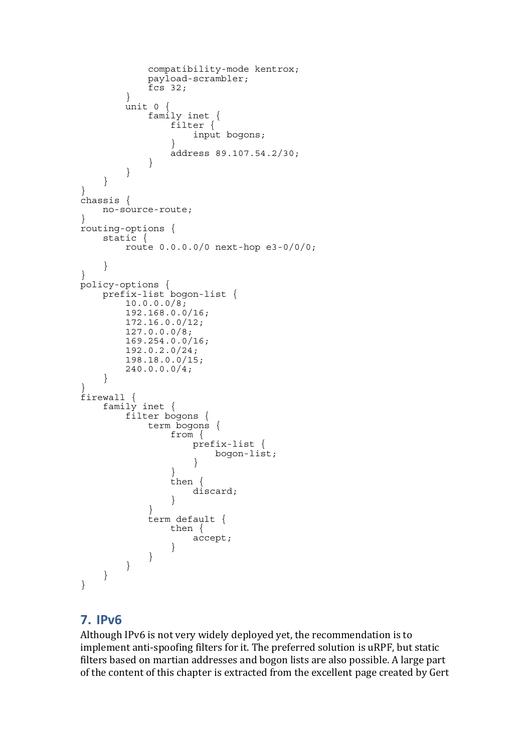```
 compatibility-mode kentrox; 
            payload-scrambler; 
       fcs 32;
 } 
       \overline{u}nit 0 {
            family inet { 
                filter { 
               input bogons;
 } 
           address 89.107.54.2/30;
 } 
 } 
    } 
} 
chassis { 
    no-source-route; 
} 
routing-options { 
    static { 
        route 0.0.0.0/0 next-hop e3-0/0/0; 
 } 
} 
policy-options { 
    prefix-list bogon-list { 
        10.0.0.0/8; 
        192.168.0.0/16; 
        172.16.0.0/12; 
        127.0.0.0/8; 
        169.254.0.0/16; 
        192.0.2.0/24; 
        198.18.0.0/15; 
       240.0.0.0/4; } 
} 
firewall { 
    family inet { 
        filter bogons { 
            term bogons { 
                from { 
                    prefix-list { 
                        bogon-list; 
 } 
 } 
                then { 
               discard;
 } 
 } 
            term default { 
                then { 
                    accept; 
 } 
 } 
        } 
    } 
}
```
# **7. IPv6**

Although IPv6 is not very widely deployed yet, the recommendation is to implement anti-spoofing filters for it. The preferred solution is uRPF, but static filters based on martian addresses and bogon lists are also possible. A large part of the content of this chapter is extracted from the excellent page created by Gert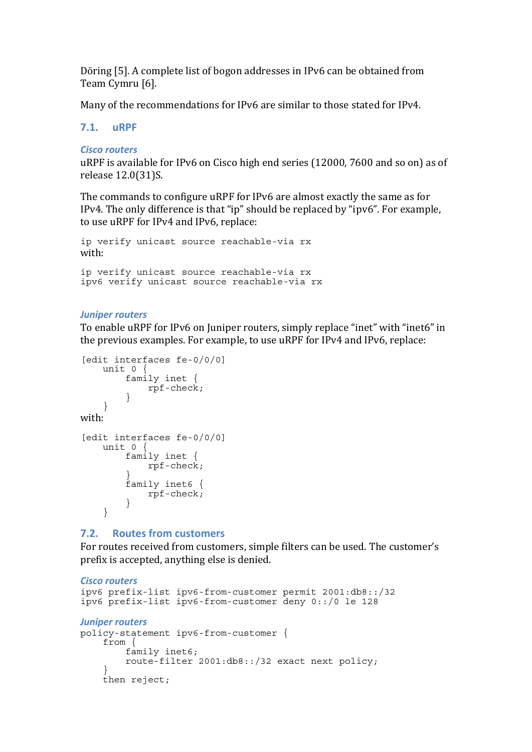<span id="page-25-0"></span>Döring [5]. A complete list of bogon addresses in IPv6 can be obtained from Team Cymru [6].

Many of the recommendations for IPv6 are similar to those stated for IPv4.

### **7.1. uRPF**

### *Cisco routers*

uRPF is available for IPv6 on Cisco high end series (12000, 7600 and so on) as of release 12.0(31)S.

The commands to configure uRPF for IPv6 are almost exactly the same as for IPv4. The only difference is that "ip" should be replaced by "ipv6". For example, to use uRPF for IPv4 and IPv6, replace:

```
ip ve
rify unicast source reachable-via rx 
with:
```

```
i
p verify unicast source reachable-via rx 
i
pv6 verify unicast source reachable-via rx
```
### *Juniper routers*

To enable uRPF for IPv6 on Juniper routers, simply replace "inet" with "inet6" in the previous examples. For example, to use uRPF for IPv4 and IPv6, replace:

```
[edit interfaces fe-0/0/0] 
     unit 0 { 
         family inet { 
     }
with: 
             rpf-check; 
      } 
[edit interfaces fe-0/0/0] 
     unit 0 { 
         family inet { 
              rpf-check; 
 } 
         family inet6 { 
         rpf-check; 
 } 
     }
```
# **7.2. Routes from customers**

For routes received from customers, simple filters can be used. The customer's prefix is accepted, anything else is denied.

```
Cisco routers
ipv6 prefix-list ipv6-from-customer permit 2001:db8::/32 
ipv6 prefix-list ipv6-from-customer deny 0::/0 le 128 
Juniper routers
policy-statement ipv6-from-customer { 
     from { 
         family inet6; 
         route-filter 2001:db8::/32 exact next policy; 
 } 
    then reject;
```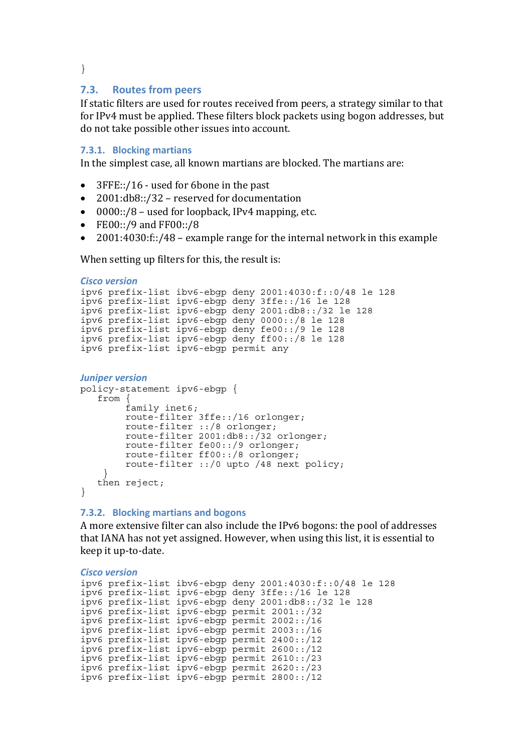<span id="page-26-0"></span>}

#### **7.3. Routes from peers**

If static filters are used for routes received from peers, a strategy similar to that for IPv4 must be applied. These filters block packets using bogon addresses, but do not take possible other issues into account.

#### **7.3.1. Blocking martians**

In the simplest case, all known martians are blocked. The martians are:

- 3FFE::/16 used for 6bone in the past
- 2001: $db8::/32$  reserved for documentation
- 0000::/8 used for loopback, IPv4 mapping, etc.
- FE00::/9 and FF00::/8
- 2001:4030:f::/48 example range for the internal network in this example

When setting up filters for this, the result is:

```
Cisco version
ipv6 prefix-list ibv6-ebgp deny 2001:4030:f::0/48 le 128 
ipv6 prefix-list ipv6-ebgp deny 3ffe::/16 le 128 
ipv6 prefix-list ipv6-ebgp deny 2001:db8::/32 le 128 
ipv6 prefix-list ipv6-ebgp deny 0000::/8 le 128 
ipv6 prefix-list ipv6-ebgp deny fe00::/9 le 128 
ipv6 prefix-list ipv6-ebgp deny ff00::/8 le 128 
ipv6 prefix-list ipv6-ebgp permit any 
Juniper version
policy-statement ipv6-ebgp { 
   from \cdot family inet6; 
         route-filter 3ffe::/16 orlonger; 
 route-filter ::/8 orlonger; 
 route-filter 2001:db8::/32 orlonger; 
 route-filter fe00::/9 orlonger; 
         route-filter ff00::/8 orlonger; 
         route-filter ::/0 upto /48 next policy; 
 } 
    then reject; 
}
```
#### **7.3.2. Blocking martians and bogons**

A more extensive filter can also include the IPv6 bogons: the pool of addresses that IANA has not yet assigned. However, when using this list, it is essential to keep it up‐to‐date.

*Cisco version* ipv6 prefix-list ibv6-ebgp deny 2001:4030:f::0/48 le 128 ipv6 prefix-list ipv6-ebgp deny 3ffe::/16 le 128 ipv6 prefix-list ipv6-ebgp deny 2001:db8::/32 le 128 ipv6 prefix-list ipv6-ebgp permit 2001::/32 ipv6 prefix-list ipv6-ebgp permit 2002::/16 ipv6 prefix-list ipv6-ebgp permit 2003::/16 ipv6 prefix-list ipv6-ebgp permit 2400::/12 ipv6 prefix-list ipv6-ebgp permit 2600::/12 ipv6 prefix-list ipv6-ebgp permit 2610::/23 ipv6 prefix-list ipv6-ebgp permit 2620::/23 ipv6 prefix-list ipv6-ebgp permit 2800::/12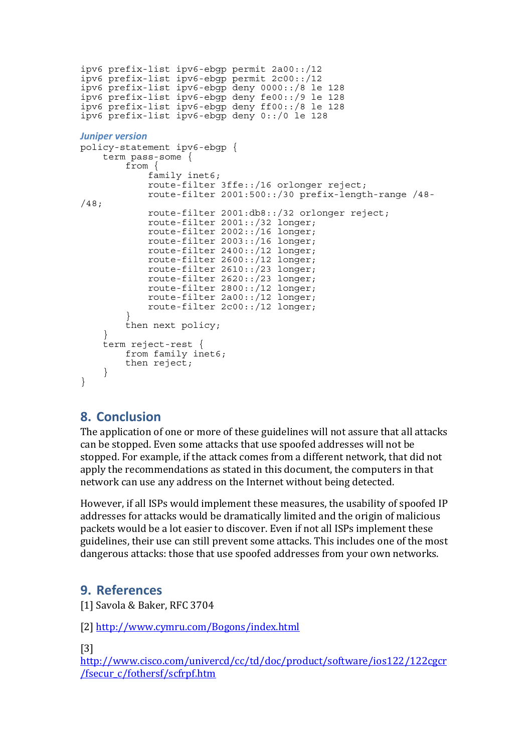```
ipv6 prefix-list ipv6-ebgp permit 2a00::/12 
ipv6 prefix-list ipv6-ebgp permit 2c00::/12 
ipv6 prefix-list ipv6-ebgp deny 0000::/8 le 128 
ipv6 prefix-list ipv6-ebgp deny fe00::/9 le 128 
ipv6 prefix-list ipv6-ebgp deny ff00::/8 le 128 
ipv6 prefix-list ipv6-ebgp deny 0::/0 le 128 
Juniper version
policy-statement ipv6-ebgp { 
     term pass-some { 
         from { 
 family inet6; 
 route-filter 3ffe::/16 orlonger reject; 
             route-filter 2001:500::/30 prefix-length-range /48-
/48; 
            route-filter 2001:db8::/32 orlonger reject; 
             route-filter 2001::/32 longer; 
             route-filter 2002::/16 longer; 
 route-filter 2003::/16 longer; 
 route-filter 2400::/12 longer; 
 route-filter 2600::/12 longer; 
            route-filter 2610::/23 longer; 
            route-filter 2620::/23 longer; 
            route-filter 2800::/12 longer; 
             route-filter 2a00::/12 longer; 
             route-filter 2c00::/12 longer; 
 } 
         then next policy; 
 } 
     term reject-rest { 
         from family inet6; 
         then reject; 
     } 
}
```
# **8. Conclusion**

The application of one or more of these guidelines will not assure that all attacks can be stopped. Even some attacks that use spoofed addresses will not be stopped. For example, if the attack comes from a different network, that did not apply the recommendations as stated in this document, the computers in that network can use any address on the Internet without being detected.

However, if all ISPs would implement these measures, the usability of spoofed IP addresses for attacks would be dramatically limited and the origin of malicious packets would be a lot easier to discover. Even if not all ISPs implement these guidelines, their use can still prevent some attacks. This includes one of the most dangerous attacks: those that use spoofed addresses from your own networks.

# **9. References**

[1] Savola & Baker, RFC 3704

[2] http://www.cymru.com/Bogons/index.html

[3]

[http://www.cisco.com/univercd/cc/td/doc/product/software/ios122/122cgcr](http://www.cisco.com/univercd/cc/td/doc/product/software/ios122/122cgcr/fsecur_c/fothersf/scfrpf.htm) /fsecur\_c/fothersf/scfrpf.htm